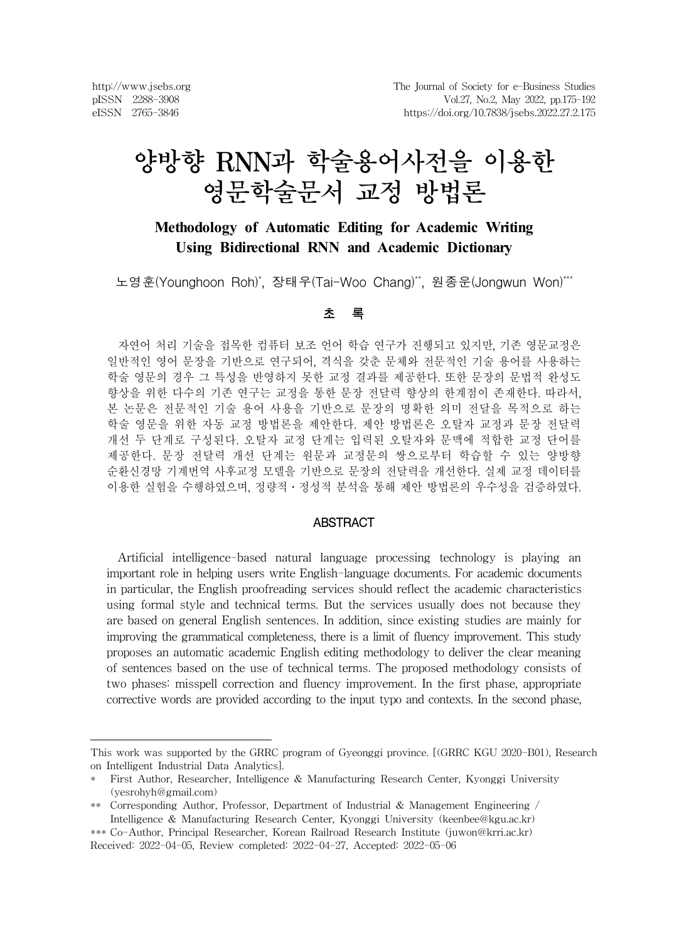http://www.jsebs.org pISSN 2288-3908 eISSN 2765-3846

# 양방향 RNN과 학술용어사전을 이용한 영문학술문서 교정 방법론

# **Methodology of Automatic Editing for Academic Writing Using Bidirectional RNN and Academic Dictionary**

노영훈(Younghoon Roh)\*, 장태우(Tai-Woo Chang)\*\*, 원종운(Jongwun Won)\*\*\*

#### 초 록

자연어 처리 기술을 접목한 컴퓨터 보조 언어 학습 연구가 진행되고 있지만, 기존 영문교정은 일반적인 영어 문장을 기반으로 연구되어, 격식을 갖춘 문체와 전문적인 기술 용어를 사용하는 학술 영문의 경우 그 특성을 반영하지 못한 교정 결과를 제공한다. 또한 문장의 문법적 완성도 향상을 위한 다수의 기존 연구는 교정을 통한 문장 전달력 향상의 한계점이 존재한다. 따라서, 본 논문은 전문적인 기술 용어 사용을 기반으로 문장의 명확한 의미 전달을 목적으로 하는 학술 영문을 위한 자동 교정 방법론을 제안한다. 제안 방법론은 오탈자 교정과 문장 전달력 개선 두 단계로 구성된다. 오탈자 교정 단계는 입력된 오탈자와 문맥에 적합한 교정 단어를 제공한다. 문장 전달력 개선 단계는 원문과 교정문의 쌍으로부터 학습할 수 있는 양방향 순환신경망 기계번역 사후교정 모델을 기반으로 문장의 전달력을 개선한다. 실제 교정 데이터를 이용한 실험을 수행하였으며, 정량적․정성적 분석을 통해 제안 방법론의 우수성을 검증하였다.

#### **ABSTRACT**

Artificial intelligence-based natural language processing technology is playing an important role in helping users write English-language documents. For academic documents in particular, the English proofreading services should reflect the academic characteristics using formal style and technical terms. But the services usually does not because they are based on general English sentences. In addition, since existing studies are mainly for improving the grammatical completeness, there is a limit of fluency improvement. This study proposes an automatic academic English editing methodology to deliver the clear meaning of sentences based on the use of technical terms. The proposed methodology consists of two phases: misspell correction and fluency improvement. In the first phase, appropriate corrective words are provided according to the input typo and contexts. In the second phase,

This work was supported by the GRRC program of Gyeonggi province. [(GRRC KGU 2020-B01), Research on Intelligent Industrial Data Analytics].

<sup>\*</sup> First Author, Researcher, Intelligence & Manufacturing Research Center, Kyonggi University (yesrohyh@gmail.com)

<sup>\*\*</sup> Corresponding Author, Professor, Department of Industrial & Management Engineering / Intelligence & Manufacturing Research Center, Kyonggi University (keenbee@kgu.ac.kr)

<sup>\*\*\*</sup> Co-Author, Principal Researcher, Korean Railroad Research Institute (juwon@krri.ac.kr) Received: 2022-04-05, Review completed: 2022-04-27, Accepted: 2022-05-06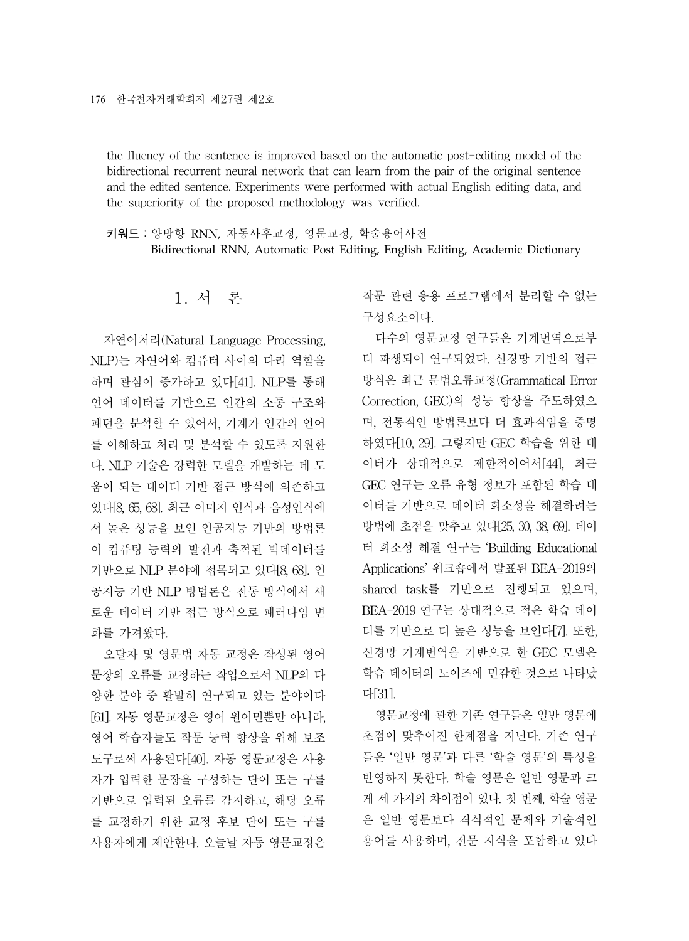the fluency of the sentence is improved based on the automatic post-editing model of the bidirectional recurrent neural network that can learn from the pair of the original sentence and the edited sentence. Experiments were performed with actual English editing data, and the superiority of the proposed methodology was verified.

키워드:양방향 RNN, 자동사후교정, 영문교정, 학술용어사전 Bidirectional RNN, Automatic Post Editing, English Editing, Academic Dictionary

1. 서 론

자연어처리(Natural Language Processing, NLP)는 자연어와 컴퓨터 사이의 다리 역할을 하며 관심이 증가하고 있다[41]. NLP를 통해 언어 데이터를 기반으로 인간의 소통 구조와 패턴을 분석할 수 있어서, 기계가 인간의 언어 를 이해하고 처리 및 분석할 수 있도록 지원한 다. NLP 기술은 강력한 모델을 개발하는 데 도 움이 되는 데이터 기반 접근 방식에 의존하고 있다[8, 65, 68]. 최근 이미지 인식과 음성인식에 서 높은 성능을 보인 인공지능 기반의 방법론 이 컴퓨팅 능력의 발전과 축적된 빅데이터를 기반으로 NLP 분야에 접목되고 있다[8, 68]. 인 공지능 기반 NLP 방법론은 전통 방식에서 새 로운 데이터 기반 접근 방식으로 패러다임 변 화를 가져왔다.

오탈자 및 영문법 자동 교정은 작성된 영어 문장의 오류를 교정하는 작업으로서 NLP의 다 양한 분야 중 활발히 연구되고 있는 분야이다 [61]. 자동 영문교정은 영어 원어민뿐만 아니라, 영어 학습자들도 작문 능력 향상을 위해 보조 도구로써 사용된다[40]. 자동 영문교정은 사용 자가 입력한 문장을 구성하는 단어 또는 구를 기반으로 입력된 오류를 감지하고, 해당 오류 를 교정하기 위한 교정 후보 단어 또는 구를 사용자에게 제안한다. 오늘날 자동 영문교정은

작문 관련 응용 프로그램에서 분리할 수 없는 구성요소이다.

다수의 영문교정 연구들은 기계번역으로부 터 파생되어 연구되었다. 신경망 기반의 접근 방식은 최근 문법오류교정(Grammatical Error Correction, GEC)의 성능 향상을 주도하였으 며, 전통적인 방법론보다 더 효과적임을 증명 하였다[10, 29]. 그렇지만 GEC 학습을 위한 데 이터가 상대적으로 제한적이어서[44], 최근 GEC 연구는 오류 유형 정보가 포함된 학습 데 이터를 기반으로 데이터 희소성을 해결하려는 방법에 초점을 맞추고 있다[25, 30, 38, 69]. 데이 터 희소성 해결 연구는 'Building Educational Applications' 워크숍에서 발표된 BEA-2019의 shared task를 기반으로 진행되고 있으며, BEA-2019 연구는 상대적으로 적은 학습 데이 터를 기반으로 더 높은 성능을 보인다[7]. 또한, 신경망 기계번역을 기반으로 한 GEC 모델은 학습 데이터의 노이즈에 민감한 것으로 나타났 다[31].

영문교정에 관한 기존 연구들은 일반 영문에 초점이 맞추어진 한계점을 지닌다. 기존 연구 들은 '일반 영문'과 다른 '학술 영문'의 특성을 반영하지 못한다. 학술 영문은 일반 영문과 크 게 세 가지의 차이점이 있다. 첫 번째, 학술 영문 은 일반 영문보다 격식적인 문체와 기술적인 용어를 사용하며, 전문 지식을 포함하고 있다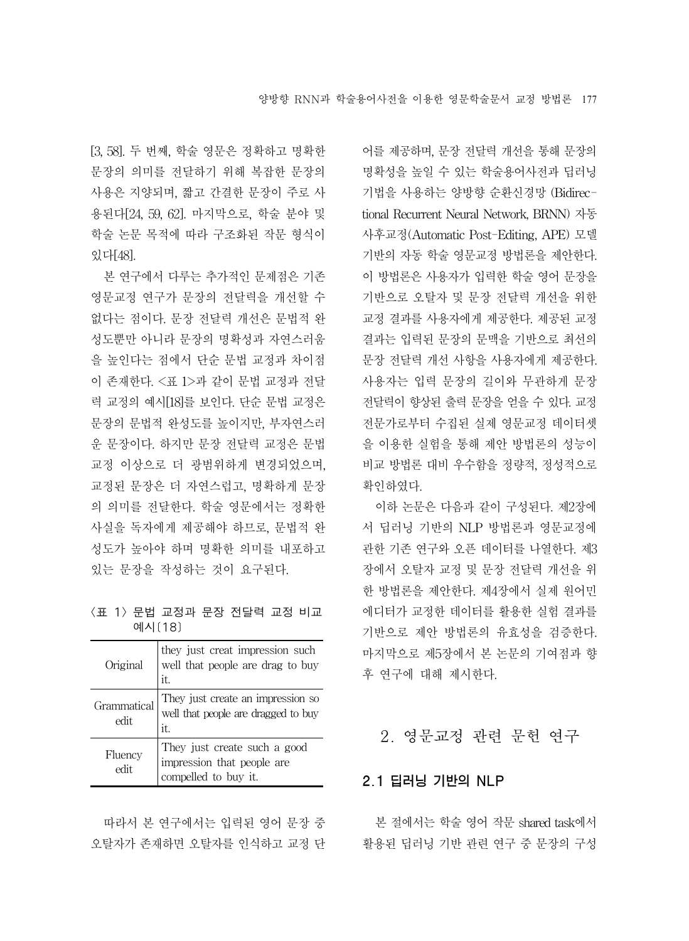[3, 58]. 두 번째, 학술 영문은 정확하고 명확한 문장의 의미를 전달하기 위해 복잡한 문장의 사용은 지양되며, 짧고 간결한 문장이 주로 사 용된다[24, 59, 62]. 마지막으로, 학술 분야 및 학술 논문 목적에 따라 구조화된 작문 형식이 있다[48].

본 연구에서 다루는 추가적인 문제점은 기존 영문교정 연구가 문장의 전달력을 개선할 수 없다는 점이다. 문장 전달력 개선은 문법적 완 성도뿐만 아니라 문장의 명확성과 자연스러움 을 높인다는 점에서 단순 문법 교정과 차이점 이 존재한다. <표 1>과 같이 문법 교정과 전달 력 교정의 예시[18]를 보인다. 단순 문법 교정은 문장의 문법적 완성도를 높이지만, 부자연스러 운 문장이다. 하지만 문장 전달력 교정은 문법 교정 이상으로 더 광범위하게 변경되었으며, 교정된 문장은 더 자연스럽고, 명확하게 문장 의 의미를 전달한다. 학술 영문에서는 정확한 사실을 독자에게 제공해야 하므로, 문법적 완 성도가 높아야 하며 명확한 의미를 내포하고 있는 문장을 작성하는 것이 요구된다.

<표 1> 문법 교정과 문장 전달력 교정 비교 예시[18]

| Original            | they just creat impression such<br>well that people are drag to buy<br>it.         |
|---------------------|------------------------------------------------------------------------------------|
| Grammatical<br>edit | They just create an impression so<br>well that people are dragged to buy<br>it.    |
| Fluency<br>edit     | They just create such a good<br>impression that people are<br>compelled to buy it. |

따라서 본 연구에서는 입력된 영어 문장 중

어를 제공하며, 문장 전달력 개선을 통해 문장의 명확성을 높일 수 있는 학술용어사전과 딥러닝 기법을 사용하는 양방향 순환신경망 (Bidirectional Recurrent Neural Network, BRNN) 자동 사후교정(Automatic Post-Editing, APE) 모델 기반의 자동 학술 영문교정 방법론을 제안한다. 이 방법론은 사용자가 입력한 학술 영어 문장을 기반으로 오탈자 및 문장 전달력 개선을 위한 교정 결과를 사용자에게 제공한다. 제공된 교정 결과는 입력된 문장의 문맥을 기반으로 최선의 문장 전달력 개선 사항을 사용자에게 제공한다. 사용자는 입력 문장의 길이와 무관하게 문장 전달력이 향상된 출력 문장을 얻을 수 있다. 교정 전문가로부터 수집된 실제 영문교정 데이터셋 을 이용한 실험을 통해 제안 방법론의 성능이 비교 방법론 대비 우수함을 정량적, 정성적으로 확인하였다.

이하 논문은 다음과 같이 구성된다. 제2장에 서 딥러닝 기반의 NLP 방법론과 영문교정에 관한 기존 연구와 오픈 데이터를 나열한다. 제3 장에서 오탈자 교정 및 문장 전달력 개선을 위 한 방법론을 제안한다. 제4장에서 실제 원어민 에디터가 교정한 데이터를 활용한 실험 결과를 기반으로 제안 방법론의 유효성을 검증한다. 마지막으로 제5장에서 본 논문의 기여점과 향 후 연구에 대해 제시한다.

### 2. 영문교정 관련 문헌 연구

#### 2.1 딥러닝 기반의 NLP

오탈자가 존재하면 오탈자를 인식하고 교정 단 $\qquad$  활용된 딥러닝 기반 관련 연구 중 문장의 구성 본 절에서는 학술 영어 작문 shared task에서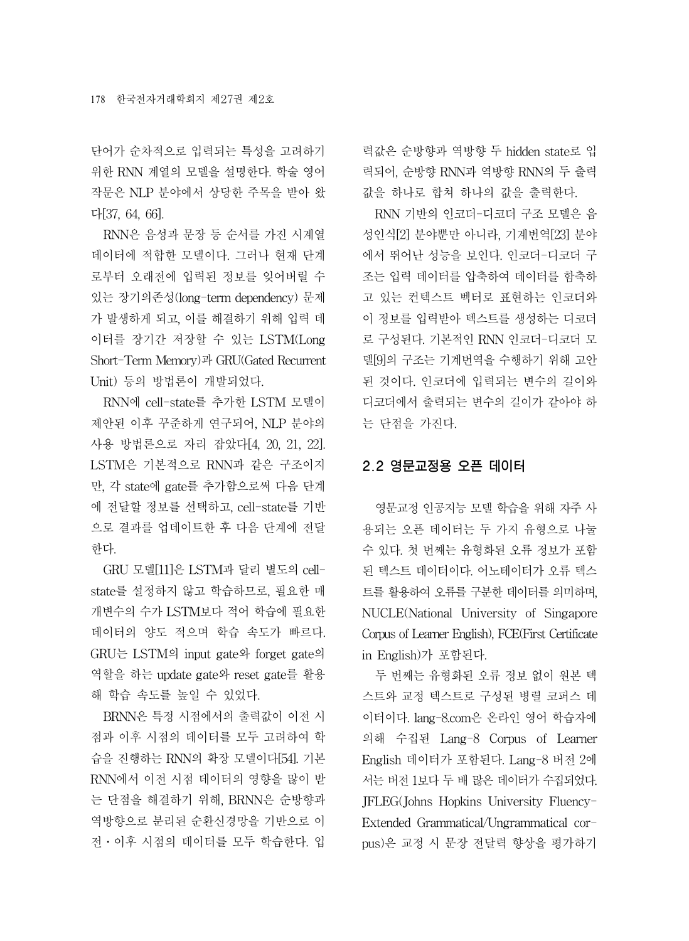단어가 순차적으로 입력되는 특성을 고려하기 위한 RNN 계열의 모델을 설명한다. 학술 영어 작문은 NLP 분야에서 상당한 주목을 받아 왔 다[37, 64, 66].

RNN은 음성과 문장 등 순서를 가진 시계열 데이터에 적합한 모델이다. 그러나 현재 단계 로부터 오래전에 입력된 정보를 잊어버릴 수 있는 장기의존성(long-term dependency) 문제 가 발생하게 되고, 이를 해결하기 위해 입력 데 이터를 장기간 저장할 수 있는 LSTM(Long Short-Term Memory)과 GRU(Gated Recurrent Unit) 등의 방법론이 개발되었다.

RNN에 cell-state를 추가한 LSTM 모델이 제안된 이후 꾸준하게 연구되어, NLP 분야의 사용 방법론으로 자리 잡았다[4, 20, 21, 22]. LSTM은 기본적으로 RNN과 같은 구조이지 만, 각 state에 gate를 추가함으로써 다음 단계 에 전달할 정보를 선택하고, cell-state를 기반 으로 결과를 업데이트한 후 다음 단계에 전달 한다.

GRU 모델[11]은 LSTM과 달리 별도의 cellstate를 설정하지 않고 학습하므로, 필요한 매 개변수의 수가 LSTM보다 적어 학습에 필요한 데이터의 양도 적으며 학습 속도가 빠르다. GRU는 LSTM의 input gate와 forget gate의 역할을 하는 update gate와 reset gate를 활용 해 학습 속도를 높일 수 있었다.

BRNN은 특정 시점에서의 출력값이 이전 시 점과 이후 시점의 데이터를 모두 고려하여 학 습을 진행하는 RNN의 확장 모델이다[54]. 기본 RNN에서 이전 시점 데이터의 영향을 많이 받 는 단점을 해결하기 위해, BRNN은 순방향과 역방향으로 분리된 순환신경망을 기반으로 이 전․이후 시점의 데이터를 모두 학습한다. 입

력값은 순방향과 역방향 두 hidden state로 입 력되어, 순방향 RNN과 역방향 RNN의 두 출력 값을 하나로 합쳐 하나의 값을 출력한다.

RNN 기반의 인코더-디코더 구조 모델은 음 성인식[2] 분야뿐만 아니라, 기계번역[23] 분야 에서 뛰어난 성능을 보인다. 인코더-디코더 구 조는 입력 데이터를 압축하여 데이터를 함축하 고 있는 컨텍스트 벡터로 표현하는 인코더와 이 정보를 입력받아 텍스트를 생성하는 디코더 로 구성된다. 기본적인 RNN 인코더-디코더 모 델[9]의 구조는 기계번역을 수행하기 위해 고안 된 것이다. 인코더에 입력되는 변수의 길이와 디코더에서 출력되는 변수의 길이가 같아야 하 는 단점을 가진다.

#### 2.2 영문교정용 오픈 데이터

영문교정 인공지능 모델 학습을 위해 자주 사 용되는 오픈 데이터는 두 가지 유형으로 나눌 수 있다. 첫 번째는 유형화된 오류 정보가 포함 된 텍스트 데이터이다. 어노테이터가 오류 텍스 트를 활용하여 오류를 구분한 데이터를 의미하며, NUCLE(National University of Singapore Corpus of Learner English), FCE(First Certificate in English)가 포함된다.

두 번째는 유형화된 오류 정보 없이 원본 텍 스트와 교정 텍스트로 구성된 병렬 코퍼스 데 이터이다. lang-8.com은 온라인 영어 학습자에 의해 수집된 Lang-8 Corpus of Learner English 데이터가 포함된다. Lang-8 버전 2에 서는 버전 1보다 두 배 많은 데이터가 수집되었다. JFLEG(Johns Hopkins University Fluency-Extended Grammatical/Ungrammatical corpus)은 교정 시 문장 전달력 향상을 평가하기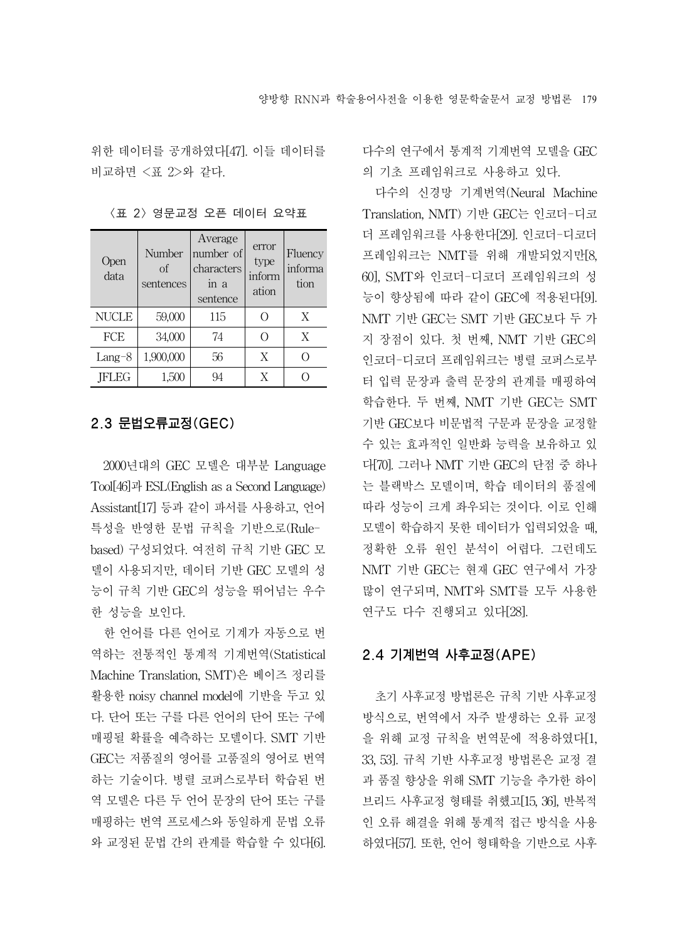위한 데이터를 공개하였다[47]. 이들 데이터를 비교하면 <표 2>와 같다.

| Open<br>data | Number<br>of<br>sentences | Average<br>number of<br>characters<br>in a<br>sentence | error<br>type<br>inform<br>ation | Fluency<br>informa<br>tion |
|--------------|---------------------------|--------------------------------------------------------|----------------------------------|----------------------------|
| <b>NUCLE</b> | 59,000                    | 115                                                    | Ω                                | X                          |
| FCE          | 34,000                    | 74                                                     | Ω                                | X                          |
| Lang-8       | 1,900,000                 | 56                                                     | X                                |                            |
| <b>IFLEG</b> | 1,500                     | 94                                                     | X                                |                            |

<표 2> 영문교정 오픈 데이터 요약표

#### 2.3 문법오류교정(GEC)

2000년대의 GEC 모델은 대부분 Language Tool[46]과 ESL(English as a Second Language) Assistant[17] 등과 같이 파서를 사용하고, 언어 특성을 반영한 문법 규칙을 기반으로(Rulebased) 구성되었다. 여전히 규칙 기반 GEC 모 델이 사용되지만, 데이터 기반 GEC 모델의 성 능이 규칙 기반 GEC의 성능을 뛰어넘는 우수 한 성능을 보인다.

한 언어를 다른 언어로 기계가 자동으로 번 역하는 전통적인 통계적 기계번역(Statistical Machine Translation, SMT)은 베이즈 정리를 활용한 noisy channel model에 기반을 두고 있 다. 단어 또는 구를 다른 언어의 단어 또는 구에 매핑될 확률을 예측하는 모델이다. SMT 기반 GEC는 저품질의 영어를 고품질의 영어로 번역 하는 기술이다. 병렬 코퍼스로부터 학습된 번 역 모델은 다른 두 언어 문장의 단어 또는 구를 매핑하는 번역 프로세스와 동일하게 문법 오류 와 교정된 문법 간의 관계를 학습할 수 있다[6]. 다수의 연구에서 통계적 기계번역 모델을 GEC 의 기초 프레임워크로 사용하고 있다.

다수의 신경망 기계번역(Neural Machine Translation, NMT) 기반 GEC는 인코더-디코 더 프레임워크를 사용한다[29]. 인코더-디코더 프레임워크는 NMT를 위해 개발되었지만[8, 60], SMT와 인코더-디코더 프레임워크의 성 능이 향상됨에 따라 같이 GEC에 적용된다[9]. NMT 기반 GEC는 SMT 기반 GEC보다 두 가 지 장점이 있다. 첫 번째, NMT 기반 GEC의 인코더-디코더 프레임워크는 병렬 코퍼스로부 터 입력 문장과 출력 문장의 관계를 매핑하여 학습한다. 두 번째, NMT 기반 GEC는 SMT 기반 GEC보다 비문법적 구문과 문장을 교정할 수 있는 효과적인 일반화 능력을 보유하고 있 다[70]. 그러나 NMT 기반 GEC의 단점 중 하나 는 블랙박스 모델이며, 학습 데이터의 품질에 따라 성능이 크게 좌우되는 것이다. 이로 인해 모델이 학습하지 못한 데이터가 입력되었을 때, 정확한 오류 원인 분석이 어렵다. 그런데도 NMT 기반 GEC는 현재 GEC 연구에서 가장 많이 연구되며, NMT와 SMT를 모두 사용한 연구도 다수 진행되고 있다[28].

#### 2.4 기계번역 사후교정(APE)

초기 사후교정 방법론은 규칙 기반 사후교정 방식으로, 번역에서 자주 발생하는 오류 교정 을 위해 교정 규칙을 번역문에 적용하였다[1, 33, 53]. 규칙 기반 사후교정 방법론은 교정 결 과 품질 향상을 위해 SMT 기능을 추가한 하이 브리드 사후교정 형태를 취했고[15, 36], 반복적 인 오류 해결을 위해 통계적 접근 방식을 사용 하였다[57]. 또한, 언어 형태학을 기반으로 사후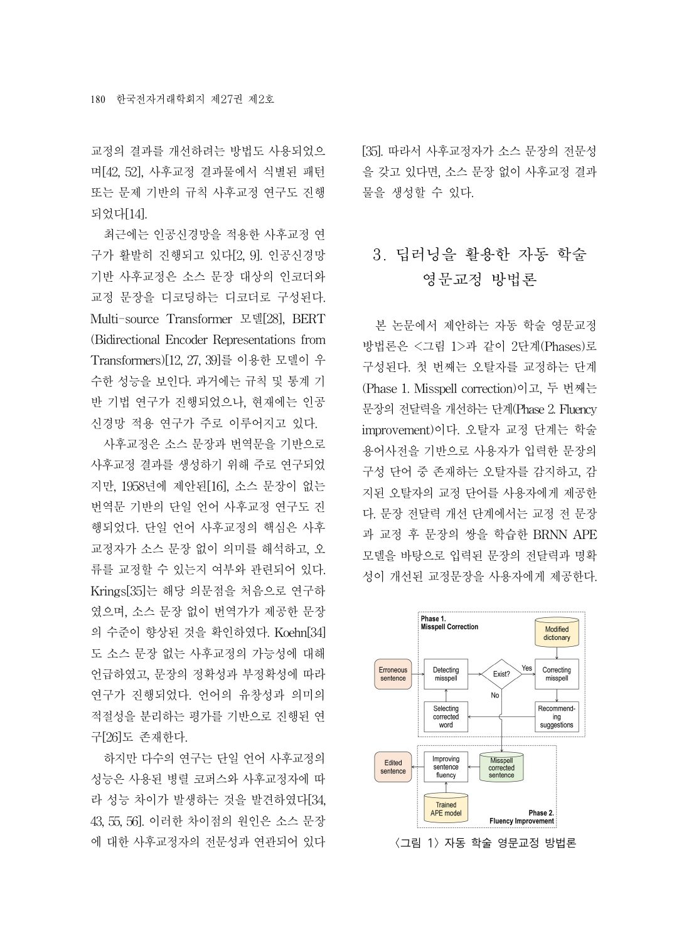교정의 결과를 개선하려는 방법도 사용되었으 며[42, 52], 사후교정 결과물에서 식별된 패턴 또는 문제 기반의 규칙 사후교정 연구도 진행 되었다[14].

최근에는 인공신경망을 적용한 사후교정 연 구가 활발히 진행되고 있다[2, 9]. 인공신경망 기반 사후교정은 소스 문장 대상의 인코더와 교정 문장을 디코딩하는 디코더로 구성된다. Multi-source Transformer 모델[28], BERT (Bidirectional Encoder Representations from Transformers)[12, 27, 39]를 이용한 모델이 우 수한 성능을 보인다. 과거에는 규칙 및 통계 기 반 기법 연구가 진행되었으나, 현재에는 인공 신경망 적용 연구가 주로 이루어지고 있다.

사후교정은 소스 문장과 번역문을 기반으로 사후교정 결과를 생성하기 위해 주로 연구되었 지만, 1958년에 제안된[16], 소스 문장이 없는 번역문 기반의 단일 언어 사후교정 연구도 진 행되었다. 단일 언어 사후교정의 핵심은 사후 교정자가 소스 문장 없이 의미를 해석하고, 오 류를 교정할 수 있는지 여부와 관련되어 있다. Krings[35]는 해당 의문점을 처음으로 연구하 였으며, 소스 문장 없이 번역가가 제공한 문장 의 수준이 향상된 것을 확인하였다. Koehn[34] 도 소스 문장 없는 사후교정의 가능성에 대해 언급하였고, 문장의 정확성과 부정확성에 따라 연구가 진행되었다. 언어의 유창성과 의미의 적절성을 분리하는 평가를 기반으로 진행된 연 구[26]도 존재한다.

하지만 다수의 연구는 단일 언어 사후교정의 성능은 사용된 병렬 코퍼스와 사후교정자에 따 라 성능 차이가 발생하는 것을 발견하였다[34, 43, 55, 56]. 이러한 차이점의 원인은 소스 문장 에 대한 사후교정자의 전문성과 연관되어 있다 [35]. 따라서 사후교정자가 소스 문장의 전문성 을 갖고 있다면, 소스 문장 없이 사후교정 결과 물을 생성할 수 있다.

# 3. 딥러닝을 활용한 자동 학술 영문교정 방법론

본 논문에서 제안하는 자동 학술 영문교정 방법론은 <그림 1>과 같이 2단계(Phases)로 구성된다. 첫 번째는 오탈자를 교정하는 단계 (Phase 1. Misspell correction)이고, 두 번째는 문장의 전달력을 개선하는 단계(Phase 2. Fluency improvement)이다. 오탈자 교정 단계는 학술 용어사전을 기반으로 사용자가 입력한 문장의 구성 단어 중 존재하는 오탈자를 감지하고, 감 지된 오탈자의 교정 단어를 사용자에게 제공한 다. 문장 전달력 개선 단계에서는 교정 전 문장 과 교정 후 문장의 쌍을 학습한 BRNN APE 모델을 바탕으로 입력된 문장의 전달력과 명확 성이 개선된 교정문장을 사용자에게 제공한다.



<그림 1> 자동 학술 영문교정 방법론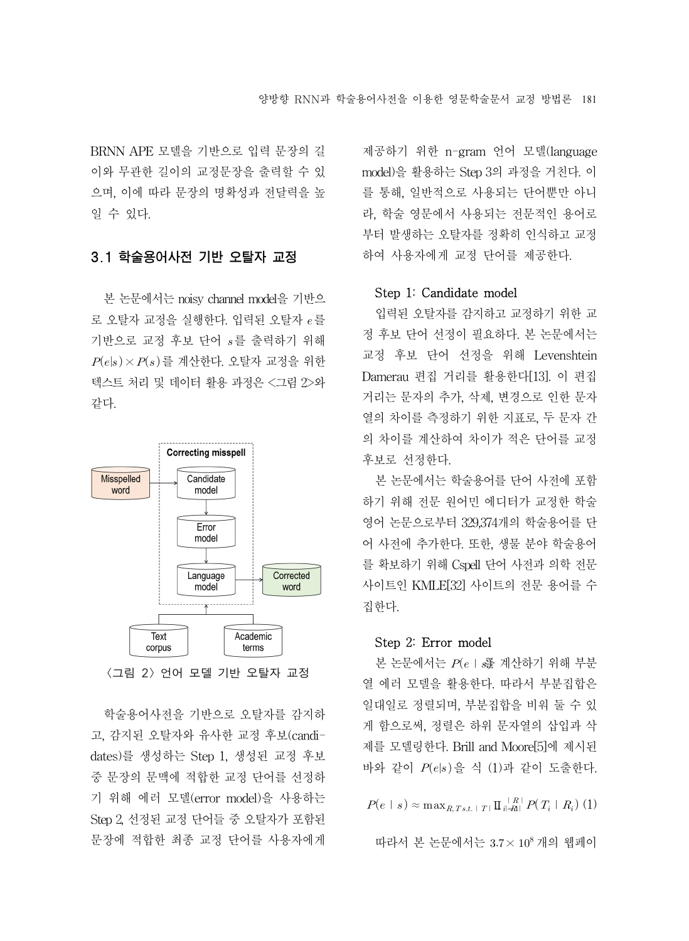BRNN APE 모델을 기반으로 입력 문장의 길 이와 무관한 길이의 교정문장을 출력할 수 있 으며, 이에 따라 문장의 명확성과 전달력을 높 일 수 있다.

#### 3.1 학술용어사전 기반 오탈자 교정

본 논문에서는 noisy channel model을 기반으 로 오탈자 교정을 실행하다. 입력된 오탈자  $e \equiv$ 기반으로 교정 후보 단어  $s \equiv$  출력하기 위해  $P(e|s) \times P(s)$ 를 계산한다. 오탈자 교정을 위한 텍스트 처리 및 데이터 활용 과정은 <그림 2>와 같다.



<그림 2> 언어 모델 기반 오탈자 교정

학술용어사전을 기반으로 오탈자를 감지하 고, 감지된 오탈자와 유사한 교정 후보(candidates)를 생성하는 Step 1, 생성된 교정 후보 중 문장의 문맥에 적합한 교정 단어를 선정하 기 위해 에러 모델(error model)을 사용하는 Step 2, 선정된 교정 단어들 중 오탈자가 포함된 문장에 적합한 최종 교정 단어를 사용자에게

제공하기 위한 n-gram 언어 모델(language model)을 활용하는 Step 3의 과정을 거친다. 이 를 통해, 일반적으로 사용되는 단어뿐만 아니 라, 학술 영문에서 사용되는 전문적인 용어로 부터 발생하는 오탈자를 정확히 인식하고 교정 하여 사용자에게 교정 단어를 제공한다.

#### Step 1: Candidate model

입력된 오탈자를 감지하고 교정하기 위한 교 정 후보 단어 선정이 필요하다. 본 논문에서는 교정 후보 단어 선정을 위해 Levenshtein Damerau 편집 거리를 활용한다[13]. 이 편집 거리는 문자의 추가, 삭제, 변경으로 인한 문자 열의 차이를 측정하기 위한 지표로, 두 문자 간 의 차이를 계산하여 차이가 적은 단어를 교정 후보로 선정한다.

본 논문에서는 학술용어를 단어 사전에 포함 하기 위해 전문 원어민 에디터가 교정한 학술 영어 논문으로부터 329,374개의 학술용어를 단 어 사전에 추가한다. 또한, 생물 분야 학술용어 를 확보하기 위해 Cspell 단어 사전과 의학 전문 사이트인 KMLE[32] 사이트의 전문 용어를 수 집한다.

#### Step 2: Error model

본 논문에서는  $P(e \mid \frac{1}{2}$  계산하기 위해 부분 열 에러 모델을 활용한다. 따라서 부분집합은 일대일로 정렬되며, 부분집합을 비워 둘 수 있 게 함으로써, 정렬은 하위 문자열의 삽입과 삭 제를 모델링한다. Brill and Moore[5]에 제시된 바와 같이  $P(e|s)$ 을 식 (1)과 같이 도출하다.

 $P(e \mid s) \approx \max_{R, T s.t. \parallel T \parallel} \prod_{i \parallel \equiv n \parallel} \frac{\parallel R \parallel}{P(T_i \parallel R_i)}$  (1)

따라서 본 논문에서는 3.7 ×  $10^8$  개의 웹페이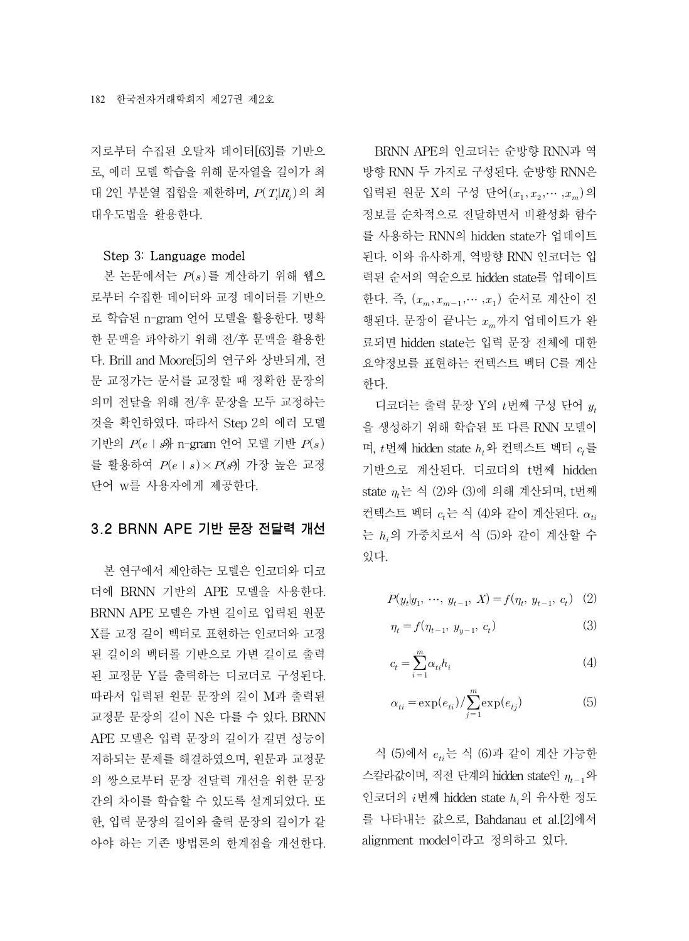지로부터 수집된 오탈자 데이터[63]를 기반으 로, 에러 모델 학습을 위해 문자열을 길이가 최 대 2인 부분열 집합을 제한하며,  $P(T_i|R_i)$ 의 최 대우도법을 활용한다.

#### Step 3: Language model

본 논문에서는  $P(s)$ 를 계산하기 위해 웹으 로부터 수집한 데이터와 교정 데이터를 기반으 로 학습된 n-gram 언어 모델을 활용한다. 명확 한 문맥을 파악하기 위해 전/후 문맥을 활용한 다. Brill and Moore[5]의 연구와 상반되게, 전 문 교정가는 문서를 교정할 때 정확한 문장의 의미 전달을 위해 전/후 문장을 모두 교정하는 것을 확인하였다. 따라서 Step 2의 에러 모델 기반의  $P(e \mid \mathcal{A}$  n-gram 언어 모델 기반  $P(s)$ 를 활용하여  $P(e \mid s) \times P(s)$  가장 높은 교정 단어 w를 사용자에게 제공한다.

#### 3.2 BRNN APE 기반 문장 전달력 개선

본 연구에서 제안하는 모델은 인코더와 디코 더에 BRNN 기반의 APE 모델을 사용한다. BRNN APE 모델은 가변 길이로 입력된 원문 X를 고정 길이 벡터로 표현하는 인코더와 고정 된 길이의 벡터롤 기반으로 가변 길이로 출력 된 교정문 Y를 출력하는 디코더로 구성된다. 따라서 입력된 원문 문장의 길이 M과 출력된 교정문 문장의 길이 N은 다를 수 있다. BRNN APE 모델은 입력 문장의 길이가 길면 성능이 저하되는 문제를 해결하였으며, 원문과 교정문 의 쌍으로부터 문장 전달력 개선을 위한 문장 간의 차이를 학습할 수 있도록 설계되었다. 또 한, 입력 문장의 길이와 출력 문장의 길이가 같 아야 하는 기존 방법론의 한계점을 개선한다.

BRNN APE의 인코더는 순방향 RNN과 역 방향 RNN 두 가지로 구성된다. 순방향 RNN은 입력된 원문 X의 구성 단어  $(x_1, x_2, \dots, x_m)$ 의 정보를 순차적으로 전달하면서 비활성화 함수 를 사용하는 RNN의 hidden state가 업데이트 된다. 이와 유사하게, 역방향 RNN 인코더는 입 력된 순서의 역순으로 hidden state를 업데이트 한다. 즉,  $(x_m, x_{m-1}, \cdots, x_1)$  순서로 계산이 진 행된다. 문장이 끝나는  $x_{m}$ 까지 업데이트가 완 료되면 hidden state는 입력 문장 전체에 대한 요약정보를 표현하는 컨텍스트 벡터 C를 계산 한다.

디코더는 출력 문장 Y의  $t$ 번째 구성 단어  $y_t$ 을 생성하기 위해 학습된 또 다른 RNN 모델이 며,  $t$ 번째 hidden state  $h_t$ 와 컨텍스트 벡터  $c_t \equiv$ 기반으로 계산된다. 디코더의 t번째 hidden state  $\eta_t$ 는 식 (2)와 (3)에 의해 계산되며, t번째 컨텍스트 벡터  $c_t$ 는 식 (4)와 같이 계산된다.  $\alpha_{ti}$ 는  $h_i$ 의 가중치로서 식 (5)와 같이 계산할 수 있다.

$$
P(y_t|y_1, \dots, y_{t-1}, X) = f(\eta_t, y_{t-1}, c_t) \quad (2)
$$

$$
\eta_t = f(\eta_{t-1}, \ y_{y-1}, \ c_t) \tag{3}
$$

$$
c_t = \sum_{i=1}^{m} \alpha_{ti} h_i \tag{4}
$$

$$
\alpha_{ti} = \exp(e_{ti}) / \sum_{j=1}^{m} \exp(e_{tj})
$$
\n(5)

식 (5)에서  $e_{ti}$ 는 식 (6)과 같이 계산 가능한 스칼라값이며, 직전 단계의 hidden state인  $\eta_{t-1}$ 와 인코더의  $i$ 번째 hidden state  $h_i$ 의 유사한 정도 를 나타내는 값으로, Bahdanau et al.[2]에서 alignment model이라고 정의하고 있다.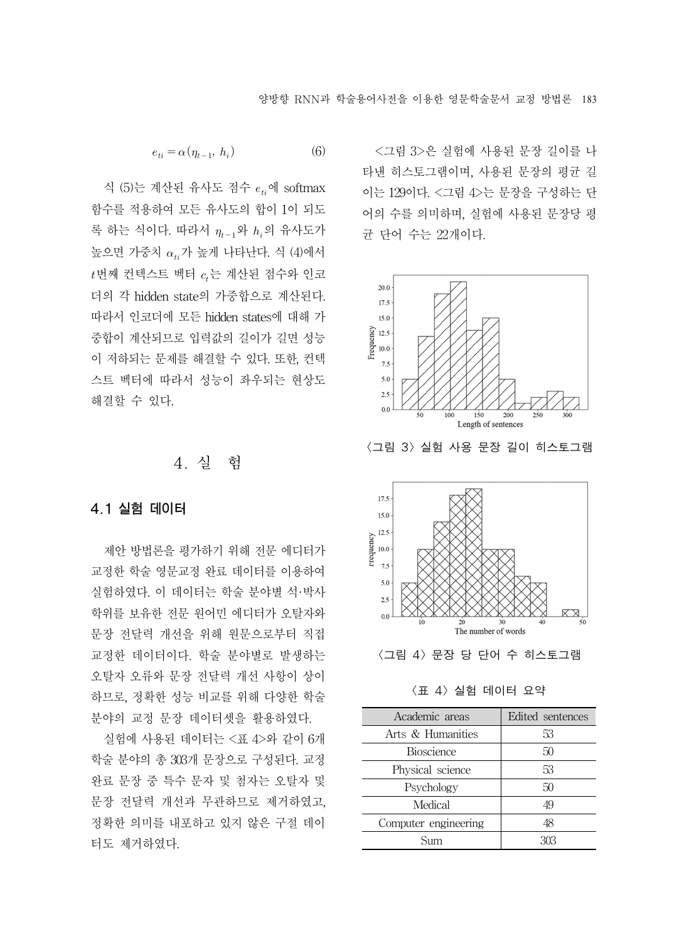$e_{ti} = \alpha (\eta_{t-1}, h_i)$  (6)

식 (5)는 계산된 유사도 점수  $e_{ti}$ 에 softmax 함수를 적용하여 모든 유사도의 합이 1이 되도 록 하는 식이다. 따라서  $\eta_{t-1}$ 와  $h_i$ 의 유사도가 높으면 가중치  $\alpha_{ti}$ 가 높게 나타난다. 식 (4)에서  $t$ 번째 컨텍스트 벡터  $c<sub>i</sub>$ 는 계산된 점수와 인코 더의 각 hidden state의 가중합으로 계산된다. 따라서 인코더에 모든 hidden states에 대해 가 중합이 계산되므로 입력값의 길이가 길면 성능 이 저하되는 문제를 해결할 수 있다. 또한, 컨텍 스트 벡터에 따라서 성능이 좌우되는 현상도 해결할 수 있다.

## 4. 실 험

#### 4.1 실험 데이터

제안 방법론을 평가하기 위해 전문 에디터가 교정한 학술 영문교정 완료 데이터를 이용하여 실험하였다. 이 데이터는 학술 분야별 석·박사 학위를 보유한 전문 원어민 에디터가 오탈자와 문장 전달력 개선을 위해 원문으로부터 직접 교정한 데이터이다. 학술 분야별로 발생하는 오탈자 오류와 문장 전달력 개선 사항이 상이 하므로, 정확한 성능 비교를 위해 다양한 학술 분야의 교정 문장 데이터셋을 활용하였다.

실험에 사용된 데이터는 <표 4>와 같이 6개 학술 분야의 총 303개 문장으로 구성된다. 교정 완료 문장 중 특수 문자 및 첨자는 오탈자 및 문장 전달력 개선과 무관하므로 제거하였고, 정확한 의미를 내포하고 있지 않은 구절 데이 터도 제거하였다.

<그림 3>은 실험에 사용된 문장 길이를 나 타낸 히스토그램이며, 사용된 문장의 평균 길 이는 129이다. <그림 4>는 문장을 구성하는 단 어의 수를 의미하며, 실험에 사용된 문장당 평 균 단어 수는 22개이다.



<그림 3> 실험 사용 문장 길이 히스토그램



<그림 4> 문장 당 단어 수 히스토그램

<표 4> 실험 데이터 요약

| Academic areas       | Edited sentences |
|----------------------|------------------|
| Arts & Humanities    | 53               |
| <b>Bioscience</b>    | 50               |
| Physical science     | 53               |
| Psychology           | 50               |
| Medical              | 49               |
| Computer engineering | 48               |
| Sum                  | 303              |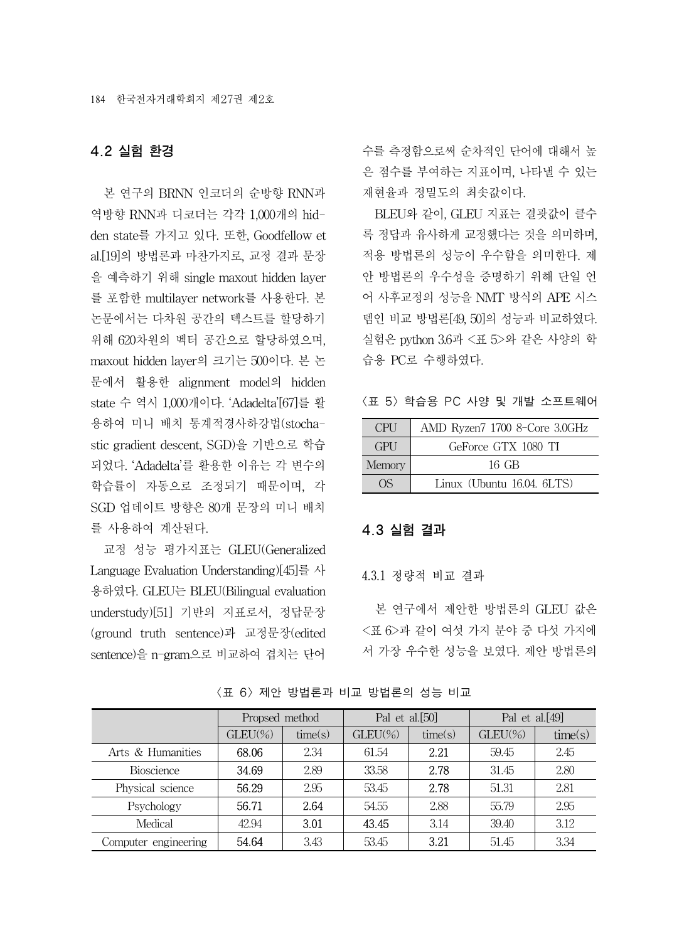#### 4.2 실험 환경

본 연구의 BRNN 인코더의 순방향 RNN과 역방향 RNN과 디코더는 각각 1,000개의 hidden state를 가지고 있다. 또한, Goodfellow et al.[19]의 방법론과 마찬가지로, 교정 결과 문장 을 예측하기 위해 single maxout hidden layer 를 포함한 multilayer network를 사용한다. 본 논문에서는 다차원 공간의 텍스트를 할당하기 위해 620차원의 벡터 공간으로 할당하였으며, maxout hidden layer의 크기는 500이다. 본 논 문에서 활용한 alignment model의 hidden state 수 역시 1,000개이다. 'Adadelta'[67]를 활 용하여 미니 배치 통계적경사하강법(stochastic gradient descent, SGD)을 기반으로 학습 되었다. 'Adadelta'를 활용한 이유는 각 변수의 학습률이 자동으로 조정되기 때문이며, 각 SGD 업데이트 방향은 80개 문장의 미니 배치 를 사용하여 계산된다.

교정 성능 평가지표는 GLEU(Generalized Language Evaluation Understanding)[45]를 사 용하였다. GLEU는 BLEU(Bilingual evaluation understudy)[51] 기반의 지표로서, 정답문장 (ground truth sentence)과 교정문장(edited sentence)을 n-gram으로 비교하여 겹치는 단어

수를 측정함으로써 순차적인 단어에 대해서 높 은 점수를 부여하는 지표이며, 나타낼 수 있는 재현율과 정밀도의 최솟값이다.

BLEU와 같이, GLEU 지표는 결괏값이 클수 록 정답과 유사하게 교정했다는 것을 의미하며, 적용 방법론의 성능이 우수함을 의미한다. 제 안 방법론의 우수성을 증명하기 위해 단일 언 어 사후교정의 성능을 NMT 방식의 APE 시스 템인 비교 방법론[49, 50]의 성능과 비교하였다. 실험은 python 3.6과 <표 5>와 같은 사양의 학 습용 PC로 수행하였다.

<표 5> 학습용 PC 사양 및 개발 소프트웨어

| <b>CPH</b>   | AMD Ryzen7 1700 8-Core 3.0GHz |
|--------------|-------------------------------|
| <b>GPU</b>   | GeForce GTX 1080 TI           |
| Memory       | $16$ GB                       |
| $($ ) $\leq$ | Linux (Ubuntu 16.04. 6LTS)    |

#### 4.3 실험 결과

4.3.1 정량적 비교 결과

본 연구에서 제안한 방법론의 GLEU 값은 <표 6>과 같이 여섯 가지 분야 중 다섯 가지에 서 가장 우수한 성능을 보였다. 제안 방법론의

|                      | Propsed method |         | Pal et al.[50] |         | Pal et al. $[49]$ |         |
|----------------------|----------------|---------|----------------|---------|-------------------|---------|
|                      | $GLEU(\%)$     | time(s) | $GLEU(\%)$     | time(s) | $GLEU(\%)$        | time(s) |
| Arts & Humanities    | 68.06          | 2.34    | 61.54          | 2.21    | 59.45             | 2.45    |
| <b>Bioscience</b>    | 34.69          | 2.89    | 33.58          | 2.78    | 31.45             | 2.80    |
| Physical science     | 56.29          | 2.95    | 53.45          | 2.78    | 51.31             | 2.81    |
| Psychology           | 56.71          | 2.64    | 54.55          | 2.88    | 55.79             | 2.95    |
| Medical              | 42.94          | 3.01    | 43.45          | 3.14    | 39.40             | 3.12    |
| Computer engineering | 54.64          | 3.43    | 53.45          | 3.21    | 51.45             | 3.34    |

<표 6> 제안 방법론과 비교 방법론의 성능 비교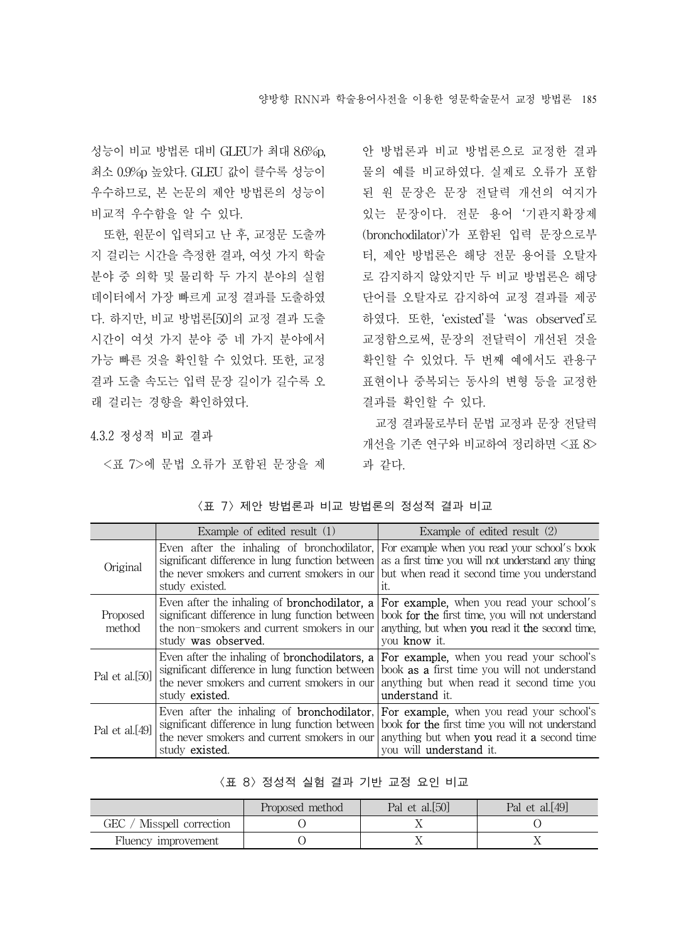성능이 비교 방법론 대비 GLEU가 최대 8.6%p, 최소 0.9%p 높았다. GLEU 값이 클수록 성능이 우수하므로, 본 논문의 제안 방법론의 성능이 비교적 우수함을 알 수 있다.

또한, 원문이 입력되고 난 후, 교정문 도출까 지 걸리는 시간을 측정한 결과, 여섯 가지 학술 분야 중 의학 및 물리학 두 가지 분야의 실험 데이터에서 가장 빠르게 교정 결과를 도출하였 다. 하지만, 비교 방법론[50]의 교정 결과 도출 시간이 여섯 가지 분야 중 네 가지 분야에서 가능 빠른 것을 확인할 수 있었다. 또한, 교정 결과 도출 속도는 입력 문장 길이가 길수록 오 래 걸리는 경향을 확인하였다.

4.3.2 정성적 비교 결과

<표 7>에 문법 오류가 포함된 문장을 제

안 방법론과 비교 방법론으로 교정한 결과 물의 예를 비교하였다. 실제로 오류가 포함 된 원 문장은 문장 전달력 개선의 여지가 있는 문장이다. 전문 용어 '기관지확장제 (bronchodilator)'가 포함된 입력 문장으로부 터, 제안 방법론은 해당 전문 용어를 오탈자 로 감지하지 않았지만 두 비교 방법론은 해당 단어를 오탈자로 감지하여 교정 결과를 제공 하였다. 또한, 'existed'를 'was observed'로 교정함으로써, 문장의 전달력이 개선된 것을 확인할 수 있었다. 두 번째 예에서도 관용구 표현이나 중복되는 동사의 변형 등을 교정한 결과를 확인할 수 있다.

교정 결과물로부터 문법 교정과 문장 전달력 개선을 기존 연구와 비교하여 정리하면 <표 8> 과 같다.

|                    | Example of edited result (1)                                                                                                                                                              | Example of edited result (2)                                                                                                                                                               |
|--------------------|-------------------------------------------------------------------------------------------------------------------------------------------------------------------------------------------|--------------------------------------------------------------------------------------------------------------------------------------------------------------------------------------------|
| Original           | Even after the inhaling of bronchodilator.<br>significant difference in lung function between<br>the never smokers and current smokers in our<br>study existed.                           | For example when you read your school's book<br>as a first time you will not understand any thing<br>but when read it second time you understand<br>it.                                    |
| Proposed<br>method | Even after the inhaling of <b>bronchodilator</b> . <b>a</b><br>significant difference in lung function between<br>the non-smokers and current smokers in our<br>study was observed.       | <b>For example,</b> when you read your school's<br>book <b>for the</b> first time, you will not understand<br>anything, but when you read it the second time,<br>vou know it.              |
| Pal et al. $[50]$  | Even after the inhaling of <b>bronchodilators</b> . <b>a</b><br>significant difference in lung function between<br>the never smokers and current smokers in our<br>study <b>existed</b> . | <b>For example,</b> when you read your school's<br>book <b>as a</b> first time you will not understand<br>anything but when read it second time you<br>understand it.                      |
| Pal et al. $[49]$  | Even after the inhaling of <b>bronchodilator</b> .<br>significant difference in lung function between<br>the never smokers and current smokers in our<br>study <b>existed.</b>            | For example, when you read your school's<br>book for the first time you will not understand<br>anything but when <b>you</b> read it <b>a</b> second time<br>you will <b>understand</b> it. |

#### <표 7> 제안 방법론과 비교 방법론의 정성적 결과 비교

|  |  | 〈표 8〉 정성적 실험 결과 기반 교정 요인 비교 |  |  |  |  |  |  |
|--|--|-----------------------------|--|--|--|--|--|--|
|--|--|-----------------------------|--|--|--|--|--|--|

|                           | Proposed method | Pal et al.[50] | Pal et al. $[49]$ |
|---------------------------|-----------------|----------------|-------------------|
| GEC / Misspell correction |                 |                |                   |
| Fluency improvement       |                 |                |                   |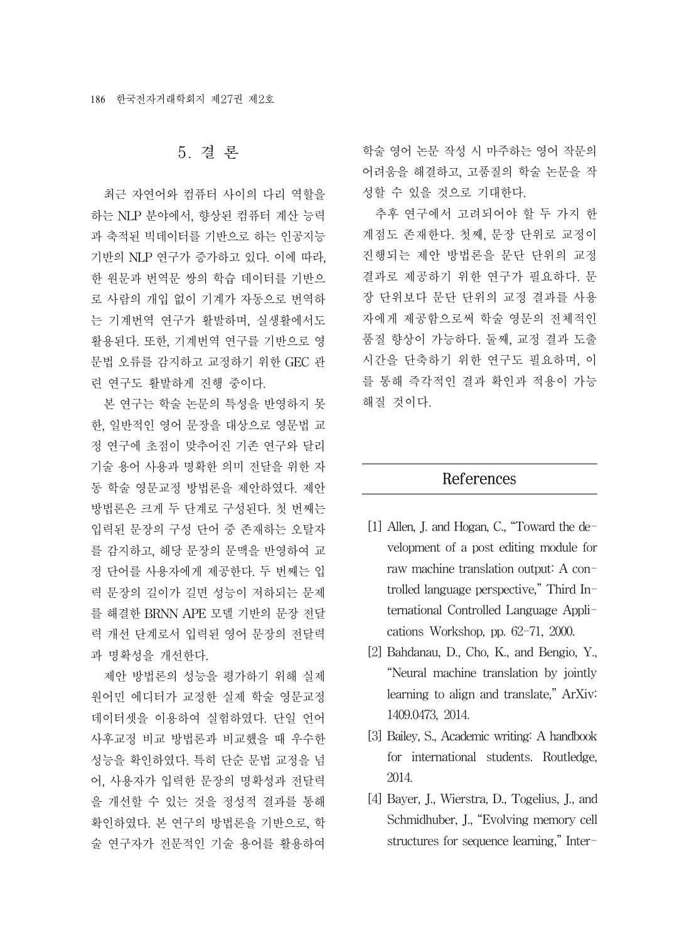### 5. 결 론

최근 자연어와 컴퓨터 사이의 다리 역할을 하는 NLP 분야에서, 향상된 컴퓨터 계산 능력 과 축적된 빅데이터를 기반으로 하는 인공지능 기반의 NLP 연구가 증가하고 있다. 이에 따라, 한 원문과 번역문 쌍의 학습 데이터를 기반으 로 사람의 개입 없이 기계가 자동으로 번역하 는 기계번역 연구가 활발하며, 실생활에서도 활용된다. 또한, 기계번역 연구를 기반으로 영 문법 오류를 감지하고 교정하기 위한 GEC 관 련 연구도 활발하게 진행 중이다.

본 연구는 학술 논문의 특성을 반영하지 못 한, 일반적인 영어 문장을 대상으로 영문법 교 정 연구에 초점이 맞추어진 기존 연구와 달리 기술 용어 사용과 명확한 의미 전달을 위한 자 동 학술 영문교정 방법론을 제안하였다. 제안 방법론은 크게 두 단계로 구성된다. 첫 번째는 입력된 문장의 구성 단어 중 존재하는 오탈자 를 감지하고, 해당 문장의 문맥을 반영하여 교 정 단어를 사용자에게 제공한다. 두 번째는 입 력 문장의 길이가 길면 성능이 저하되는 문제 를 해결한 BRNN APE 모델 기반의 문장 전달 력 개선 단계로서 입력된 영어 문장의 전달력 과 명확성을 개선한다.

제안 방법론의 성능을 평가하기 위해 실제 원어민 에디터가 교정한 실제 학술 영문교정 데이터셋을 이용하여 실험하였다. 단일 언어 사후교정 비교 방법론과 비교했을 때 우수한 성능을 확인하였다. 특히 단순 문법 교정을 넘 어, 사용자가 입력한 문장의 명확성과 전달력 을 개선할 수 있는 것을 정성적 결과를 통해 확인하였다. 본 연구의 방법론을 기반으로, 학 술 연구자가 전문적인 기술 용어를 활용하여

학술 영어 논문 작성 시 마주하는 영어 작문의 어려움을 해결하고, 고품질의 학술 논문을 작 성할 수 있을 것으로 기대한다.

추후 연구에서 고려되어야 할 두 가지 한 계점도 존재한다. 첫째, 문장 단위로 교정이 진행되는 제안 방법론을 문단 단위의 교정 결과로 제공하기 위한 연구가 필요하다. 문 장 단위보다 문단 단위의 교정 결과를 사용 자에게 제공함으로써 학술 영문의 전체적인 품질 향상이 가능하다. 둘째, 교정 결과 도출 시간을 단축하기 위한 연구도 필요하며, 이 를 통해 즉각적인 결과 확인과 적용이 가능 해질 것이다.

#### References

- [1] Allen, J. and Hogan, C., "Toward the development of a post editing module for raw machine translation output: A controlled language perspective," Third International Controlled Language Applications Workshop, pp. 62-71, 2000.
- [2] Bahdanau, D., Cho, K., and Bengio, Y., "Neural machine translation by jointly learning to align and translate," ArXiv: 1409.0473, 2014.
- [3] Bailey, S., Academic writing: A handbook for international students. Routledge, 2014.
- [4] Bayer, J., Wierstra, D., Togelius, J., and Schmidhuber, J., "Evolving memory cell structures for sequence learning," Inter-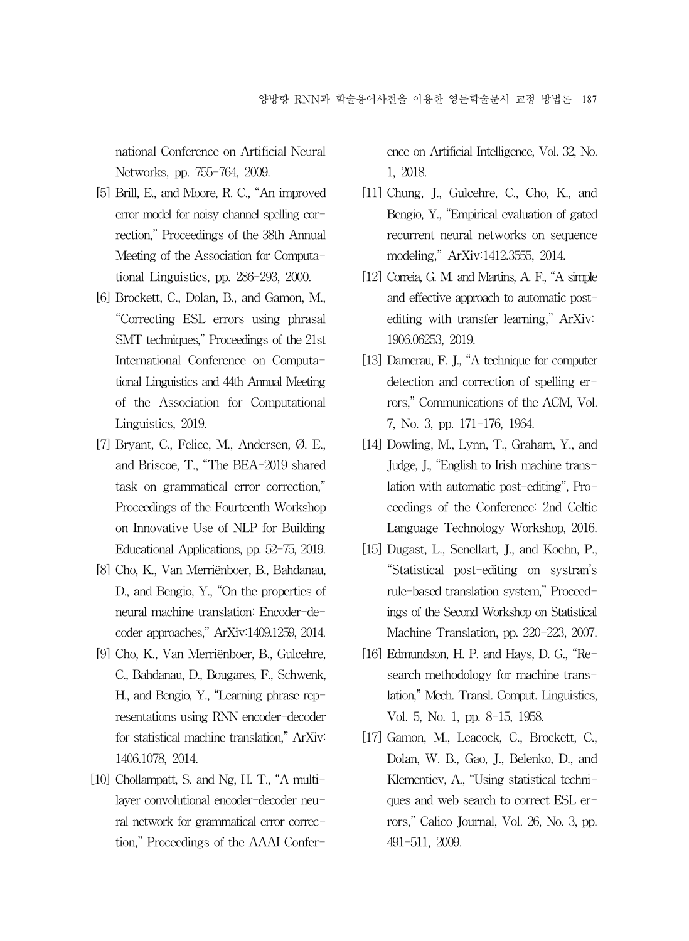national Conference on Artificial Neural Networks, pp. 755-764, 2009.

- [5] Brill, E., and Moore, R. C., "An improved error model for noisy channel spelling correction," Proceedings of the 38th Annual Meeting of the Association for Computational Linguistics, pp. 286-293, 2000.
- [6] Brockett, C., Dolan, B., and Gamon, M., "Correcting ESL errors using phrasal SMT techniques," Proceedings of the 21st International Conference on Computational Linguistics and 44th Annual Meeting of the Association for Computational Linguistics, 2019.
- [7] Bryant, C., Felice, M., Andersen, Ø. E., and Briscoe, T., "The BEA-2019 shared task on grammatical error correction," Proceedings of the Fourteenth Workshop on Innovative Use of NLP for Building Educational Applications, pp. 52-75, 2019.
- [8] Cho, K., Van Merriënboer, B., Bahdanau, D., and Bengio, Y., "On the properties of neural machine translation: Encoder-decoder approaches," ArXiv:1409.1259, 2014.
- [9] Cho, K., Van Merriënboer, B., Gulcehre, C., Bahdanau, D., Bougares, F., Schwenk, H., and Bengio, Y., "Learning phrase representations using RNN encoder-decoder for statistical machine translation," ArXiv: 1406.1078, 2014.
- [10] Chollampatt, S. and Ng, H. T., "A multilayer convolutional encoder-decoder neural network for grammatical error correction," Proceedings of the AAAI Confer-

ence on Artificial Intelligence, Vol. 32, No. 1, 2018.

- [11] Chung, J., Gulcehre, C., Cho, K., and Bengio, Y., "Empirical evaluation of gated recurrent neural networks on sequence modeling," ArXiv:1412.3555, 2014.
- [12] Correia, G. M. and Martins, A. F., "A simple and effective approach to automatic postediting with transfer learning," ArXiv: 1906.06253, 2019.
- [13] Damerau, F. J., "A technique for computer detection and correction of spelling errors," Communications of the ACM, Vol. 7, No. 3, pp. 171-176, 1964.
- [14] Dowling, M., Lynn, T., Graham, Y., and Judge, J., "English to Irish machine translation with automatic post-editing", Proceedings of the Conference: 2nd Celtic Language Technology Workshop, 2016.
- [15] Dugast, L., Senellart, J., and Koehn, P., "Statistical post-editing on systran's rule-based translation system," Proceedings of the Second Workshop on Statistical Machine Translation, pp. 220-223, 2007.
- [16] Edmundson, H. P. and Hays, D. G., "Research methodology for machine translation," Mech. Transl. Comput. Linguistics, Vol. 5, No. 1, pp. 8-15, 1958.
- [17] Gamon, M., Leacock, C., Brockett, C., Dolan, W. B., Gao, J., Belenko, D., and Klementiev, A., "Using statistical techniques and web search to correct ESL errors," Calico Journal, Vol. 26, No. 3, pp. 491-511, 2009.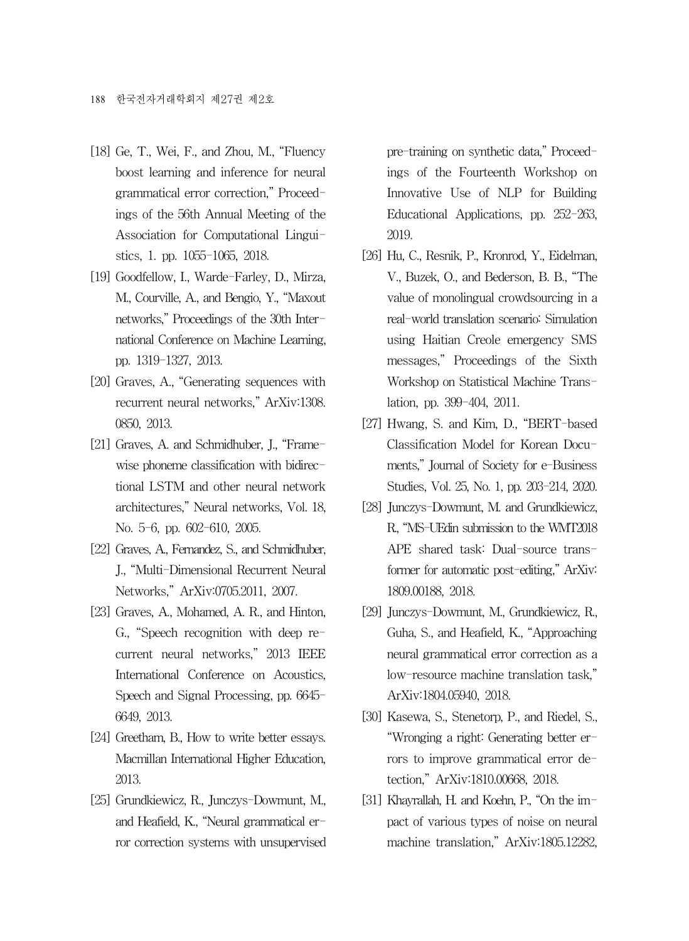- [18] Ge, T., Wei, F., and Zhou, M., "Fluency boost learning and inference for neural grammatical error correction," Proceedings of the 56th Annual Meeting of the Association for Computational Linguistics, 1. pp. 1055-1065, 2018.
- [19] Goodfellow, I., Warde-Farley, D., Mirza, M., Courville, A., and Bengio, Y., "Maxout networks," Proceedings of the 30th International Conference on Machine Learning, pp. 1319-1327, 2013.
- [20] Graves, A., "Generating sequences with recurrent neural networks," ArXiv:1308. 0850, 2013.
- [21] Graves, A. and Schmidhuber, J., "Framewise phoneme classification with bidirectional LSTM and other neural network architectures," Neural networks, Vol. 18, No. 5-6, pp. 602-610, 2005.
- [22] Graves, A., Fernandez, S., and Schmidhuber, J., "Multi-Dimensional Recurrent Neural Networks," ArXiv:0705.2011, 2007.
- [23] Graves, A., Mohamed, A. R., and Hinton, G., "Speech recognition with deep recurrent neural networks," 2013 IEEE International Conference on Acoustics, Speech and Signal Processing, pp. 6645- 6649, 2013.
- [24] Greetham, B., How to write better essays. Macmillan International Higher Education, 2013.
- [25] Grundkiewicz, R., Junczys-Dowmunt, M., and Heafield, K., "Neural grammatical error correction systems with unsupervised

pre-training on synthetic data," Proceedings of the Fourteenth Workshop on Innovative Use of NLP for Building Educational Applications, pp. 252-263, 2019.

- [26] Hu, C., Resnik, P., Kronrod, Y., Eidelman, V., Buzek, O., and Bederson, B. B., "The value of monolingual crowdsourcing in a real-world translation scenario: Simulation using Haitian Creole emergency SMS messages," Proceedings of the Sixth Workshop on Statistical Machine Translation, pp. 399-404, 2011.
- [27] Hwang, S. and Kim, D., "BERT-based" Classification Model for Korean Documents," Journal of Society for e-Business Studies, Vol. 25, No. 1, pp. 203-214, 2020.
- [28] Junczys-Dowmunt, M. and Grundkiewicz, R., "MS-UEdin submission to the WMT2018 APE shared task: Dual-source transformer for automatic post-editing," ArXiv: 1809.00188, 2018.
- [29] Junczys-Dowmunt, M., Grundkiewicz, R., Guha, S., and Heafield, K., "Approaching neural grammatical error correction as a low-resource machine translation task," ArXiv:1804.05940, 2018.
- [30] Kasewa, S., Stenetorp, P., and Riedel, S., "Wronging a right: Generating better errors to improve grammatical error detection," ArXiv:1810.00668, 2018.
- [31] Khayrallah, H. and Koehn, P., "On the impact of various types of noise on neural machine translation," ArXiv:1805.12282,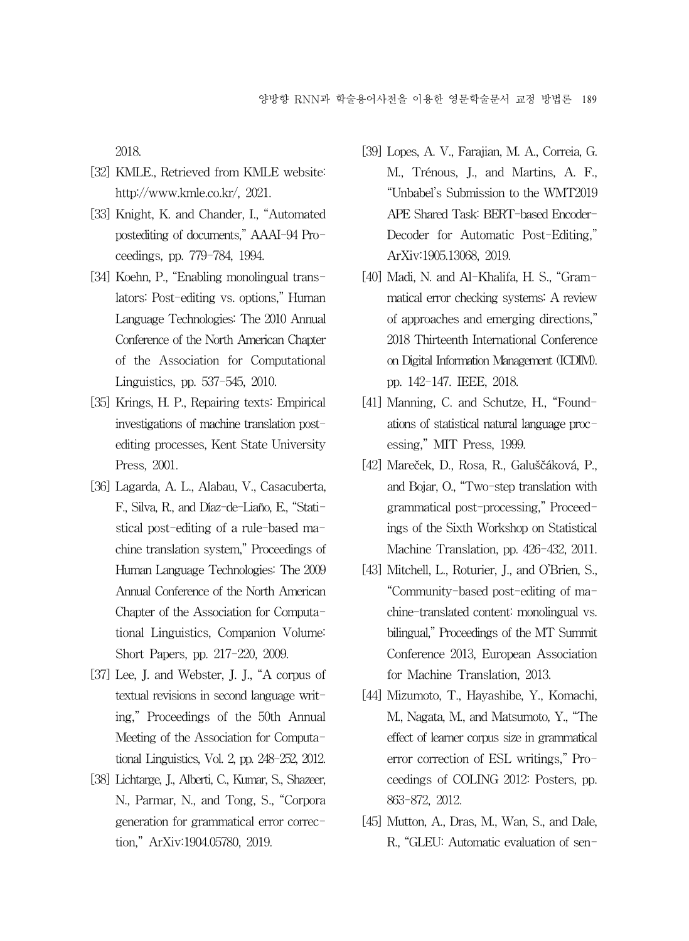2018.

- [32] KMLE., Retrieved from KMLE website: http://www.kmle.co.kr/, 2021.
- [33] Knight, K. and Chander, I., "Automated postediting of documents," AAAI-94 Proceedings, pp. 779-784, 1994.
- [34] Koehn, P., "Enabling monolingual translators: Post-editing vs. options," Human Language Technologies: The 2010 Annual Conference of the North American Chapter of the Association for Computational Linguistics, pp. 537-545, 2010.
- [35] Krings, H. P., Repairing texts: Empirical investigations of machine translation postediting processes, Kent State University Press, 2001.
- [36] Lagarda, A. L., Alabau, V., Casacuberta, F., Silva, R., and Díaz-de-Liaño, E., "Statistical post-editing of a rule-based machine translation system," Proceedings of Human Language Technologies: The 2009 Annual Conference of the North American Chapter of the Association for Computational Linguistics, Companion Volume: Short Papers, pp. 217-220, 2009.
- [37] Lee, J. and Webster, J. J., "A corpus of textual revisions in second language writing," Proceedings of the 50th Annual Meeting of the Association for Computational Linguistics, Vol. 2, pp. 248-252, 2012.
- [38] Lichtarge, J., Alberti, C., Kumar, S., Shazeer, N., Parmar, N., and Tong, S., "Corpora generation for grammatical error correction," ArXiv:1904.05780, 2019.
- [39] Lopes, A. V., Farajian, M. A., Correia, G. M., Trénous, J., and Martins, A. F., "Unbabel's Submission to the WMT2019 APE Shared Task: BERT-based Encoder-Decoder for Automatic Post-Editing," ArXiv:1905.13068, 2019.
- [40] Madi, N. and Al-Khalifa, H. S., "Grammatical error checking systems: A review of approaches and emerging directions," 2018 Thirteenth International Conference on Digital Information Management (ICDIM). pp. 142-147. IEEE, 2018.
- [41] Manning, C. and Schutze, H., "Foundations of statistical natural language processing," MIT Press, 1999.
- [42] Mareček, D., Rosa, R., Galuščáková, P., and Bojar, O., "Two-step translation with grammatical post-processing," Proceedings of the Sixth Workshop on Statistical Machine Translation, pp. 426-432, 2011.
- [43] Mitchell, L., Roturier, J., and O'Brien, S., "Community-based post-editing of machine-translated content: monolingual vs. bilingual," Proceedings of the MT Summit Conference 2013, European Association for Machine Translation, 2013.
- [44] Mizumoto, T., Hayashibe, Y., Komachi, M., Nagata, M., and Matsumoto, Y., "The effect of learner corpus size in grammatical error correction of ESL writings," Proceedings of COLING 2012: Posters, pp. 863-872, 2012.
- [45] Mutton, A., Dras, M., Wan, S., and Dale, R., "GLEU: Automatic evaluation of sen-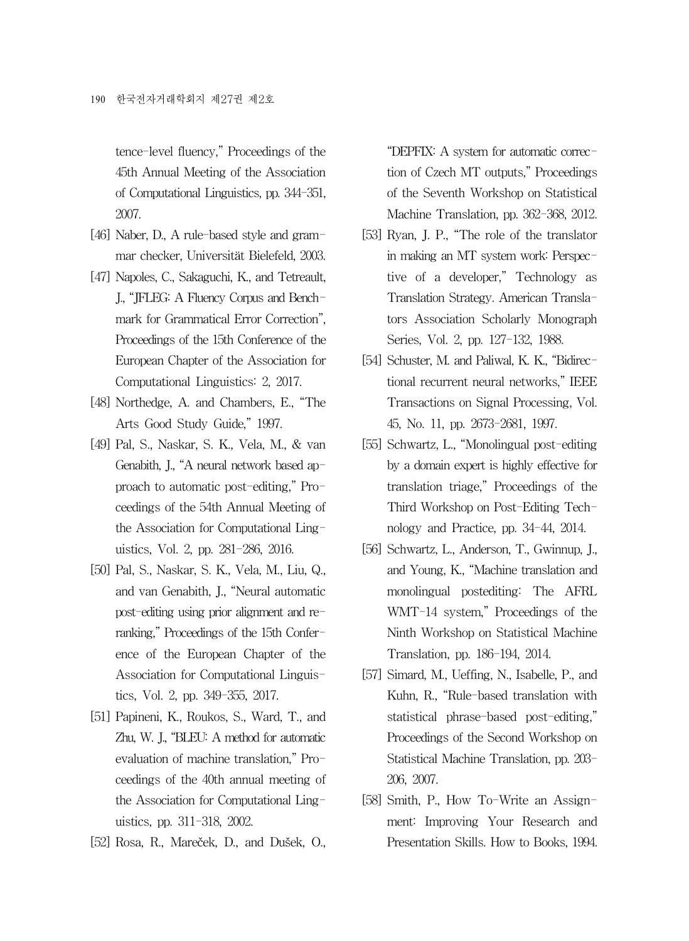tence-level fluency," Proceedings of the 45th Annual Meeting of the Association of Computational Linguistics, pp. 344-351, 2007.

- [46] Naber, D., A rule-based style and grammar checker, Universität Bielefeld, 2003.
- [47] Napoles, C., Sakaguchi, K., and Tetreault, J., "JFLEG: A Fluency Corpus and Benchmark for Grammatical Error Correction", Proceedings of the 15th Conference of the European Chapter of the Association for Computational Linguistics: 2, 2017.
- [48] Northedge, A. and Chambers, E., "The Arts Good Study Guide," 1997.
- [49] Pal, S., Naskar, S. K., Vela, M., & van Genabith, J., "A neural network based approach to automatic post-editing," Proceedings of the 54th Annual Meeting of the Association for Computational Linguistics, Vol. 2, pp. 281-286, 2016.
- [50] Pal, S., Naskar, S. K., Vela, M., Liu, Q., and van Genabith, J., "Neural automatic post-editing using prior alignment and reranking," Proceedings of the 15th Conference of the European Chapter of the Association for Computational Linguistics, Vol. 2, pp. 349-355, 2017.
- [51] Papineni, K., Roukos, S., Ward, T., and Zhu, W. J., "BLEU: A method for automatic evaluation of machine translation," Proceedings of the 40th annual meeting of the Association for Computational Linguistics, pp. 311-318, 2002.
- [52] Rosa, R., Mareček, D., and Dušek, O.,

"DEPFIX: A system for automatic correction of Czech MT outputs," Proceedings of the Seventh Workshop on Statistical Machine Translation, pp. 362-368, 2012.

- [53] Ryan, J. P., "The role of the translator in making an MT system work: Perspective of a developer," Technology as Translation Strategy. American Translators Association Scholarly Monograph Series, Vol. 2, pp. 127-132, 1988.
- [54] Schuster, M. and Paliwal, K. K., "Bidirectional recurrent neural networks," IEEE Transactions on Signal Processing, Vol. 45, No. 11, pp. 2673-2681, 1997.
- [55] Schwartz, L., "Monolingual post-editing by a domain expert is highly effective for translation triage," Proceedings of the Third Workshop on Post-Editing Technology and Practice, pp. 34-44, 2014.
- [56] Schwartz, L., Anderson, T., Gwinnup, J., and Young, K., "Machine translation and monolingual postediting: The AFRL WMT-14 system," Proceedings of the Ninth Workshop on Statistical Machine Translation, pp. 186-194, 2014.
- [57] Simard, M., Ueffing, N., Isabelle, P., and Kuhn, R., "Rule-based translation with statistical phrase-based post-editing," Proceedings of the Second Workshop on Statistical Machine Translation, pp. 203- 206, 2007.
- [58] Smith, P., How To-Write an Assignment: Improving Your Research and Presentation Skills. How to Books, 1994.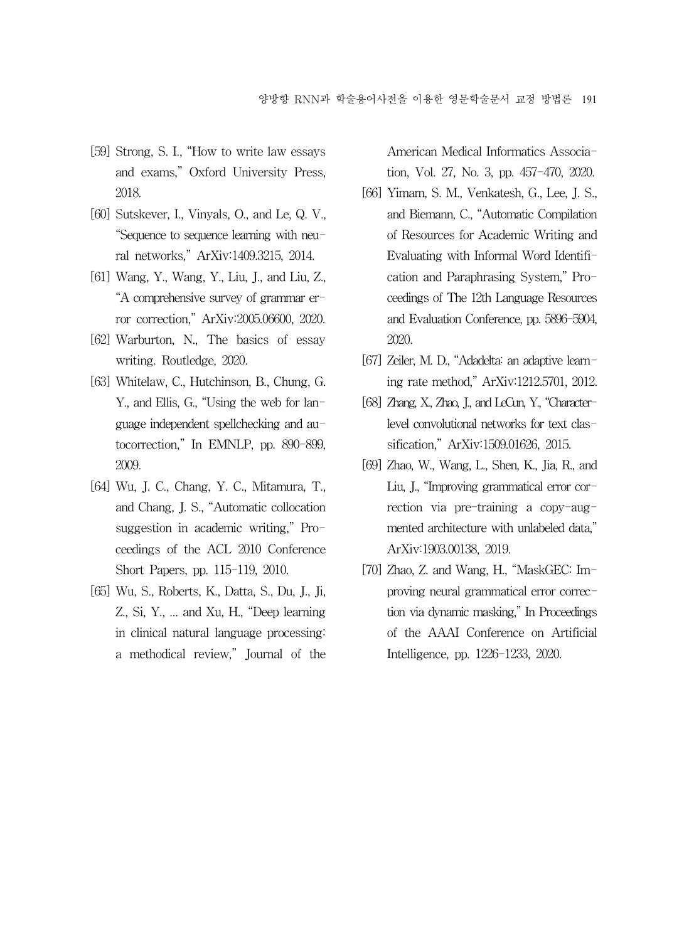- [59] Strong, S. I., "How to write law essays and exams," Oxford University Press, 2018.
- [60] Sutskever, I., Vinyals, O., and Le, Q. V., "Sequence to sequence learning with neural networks," ArXiv:1409.3215, 2014.
- [61] Wang, Y., Wang, Y., Liu, J., and Liu, Z., "A comprehensive survey of grammar error correction," ArXiv:2005.06600, 2020.
- [62] Warburton, N., The basics of essay writing. Routledge, 2020.
- [63] Whitelaw, C., Hutchinson, B., Chung, G. Y., and Ellis, G., "Using the web for language independent spellchecking and autocorrection," In EMNLP, pp. 890-899, 2009.
- [64] Wu, J. C., Chang, Y. C., Mitamura, T., and Chang, J. S., "Automatic collocation suggestion in academic writing," Proceedings of the ACL 2010 Conference Short Papers, pp. 115-119, 2010.
- [65] Wu, S., Roberts, K., Datta, S., Du, J., Ji, Z., Si, Y., ... and Xu, H., "Deep learning in clinical natural language processing: a methodical review," Journal of the

American Medical Informatics Association, Vol. 27, No. 3, pp. 457-470, 2020.

- [66] Yimam, S. M., Venkatesh, G., Lee, J. S., and Biemann, C., "Automatic Compilation of Resources for Academic Writing and Evaluating with Informal Word Identification and Paraphrasing System," Proceedings of The 12th Language Resources and Evaluation Conference, pp. 5896-5904, 2020.
- [67] Zeiler, M. D., "Adadelta: an adaptive learning rate method," ArXiv:1212.5701, 2012.
- [68] Zhang, X., Zhao, J., and LeCun, Y., "Characterlevel convolutional networks for text classification," ArXiv:1509.01626, 2015.
- [69] Zhao, W., Wang, L., Shen, K., Jia, R., and Liu, J., "Improving grammatical error correction via pre-training a copy-augmented architecture with unlabeled data," ArXiv:1903.00138, 2019.
- [70] Zhao, Z. and Wang, H., "MaskGEC: Improving neural grammatical error correction via dynamic masking," In Proceedings of the AAAI Conference on Artificial Intelligence, pp. 1226-1233, 2020.